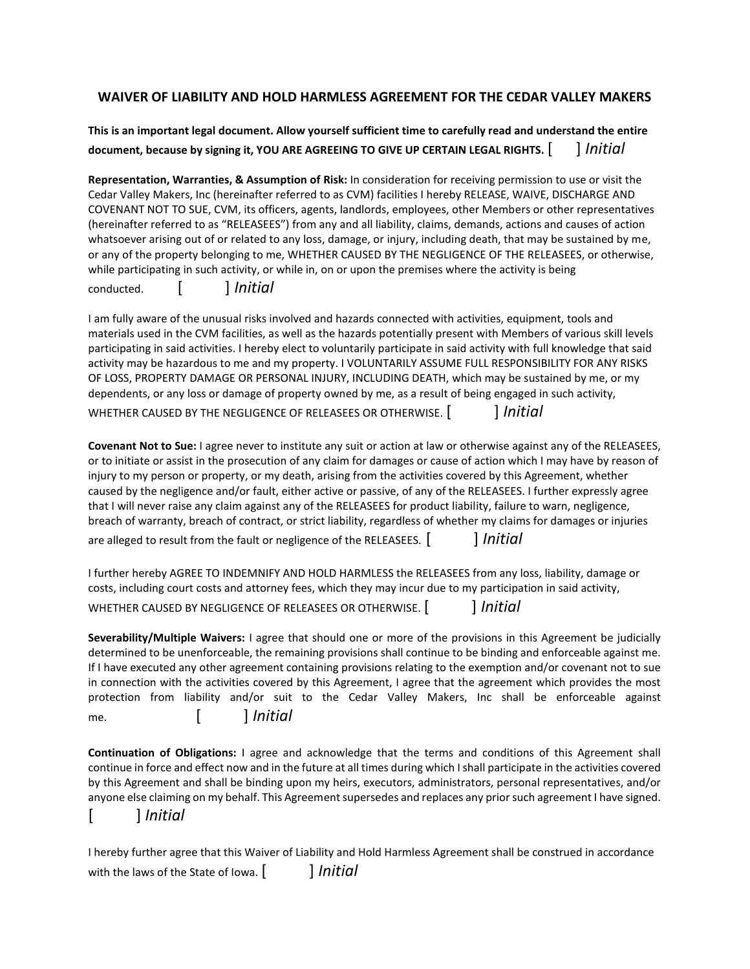## **WAIVER OF LIABILITY AND HOLD HARMLESS AGREEMENT FOR THE CEDAR VALLEY MAKERS**

**This is an important legal document. Allow yourself sufficient time to carefully read and understand the entire document, because by signing it, YOU ARE AGREEING TO GIVE UP CERTAIN LEGAL RIGHTS.** [ ] *Initial*

**Representation, Warranties, & Assumption of Risk:** In consideration for receiving permission to use or visit the Cedar Valley Makers, Inc (hereinafter referred to as CVM) facilities I hereby RELEASE, WAIVE, DISCHARGE AND COVENANT NOT TO SUE, CVM, its officers, agents, landlords, employees, other Members or other representatives (hereinafter referred to as "RELEASEES") from any and all liability, claims, demands, actions and causes of action whatsoever arising out of or related to any loss, damage, or injury, including death, that may be sustained by me, or any of the property belonging to me, WHETHER CAUSED BY THE NEGLIGENCE OF THE RELEASEES, or otherwise, while participating in such activity, or while in, on or upon the premises where the activity is being conducted. [ ] *Initial*

I am fully aware of the unusual risks involved and hazards connected with activities, equipment, tools and materials used in the CVM facilities, as well as the hazards potentially present with Members of various skill levels participating in said activities. I hereby elect to voluntarily participate in said activity with full knowledge that said activity may be hazardous to me and my property. I VOLUNTARILY ASSUME FULL RESPONSIBILITY FOR ANY RISKS OF LOSS, PROPERTY DAMAGE OR PERSONAL INJURY, INCLUDING DEATH, which may be sustained by me, or my dependents, or any loss or damage of property owned by me, as a result of being engaged in such activity, WHETHER CAUSED BY THE NEGLIGENCE OF RELEASEES OR OTHERWISE. [ ] *Initial*

**Covenant Not to Sue:** I agree never to institute any suit or action at law or otherwise against any of the RELEASEES, or to initiate or assist in the prosecution of any claim for damages or cause of action which I may have by reason of injury to my person or property, or my death, arising from the activities covered by this Agreement, whether caused by the negligence and/or fault, either active or passive, of any of the RELEASEES. I further expressly agree that I will never raise any claim against any of the RELEASEES for product liability, failure to warn, negligence, breach of warranty, breach of contract, or strict liability, regardless of whether my claims for damages or injuries are alleged to result from the fault or negligence of the RELEASEES.  $\lceil \cdot \cdot \cdot \rceil$  *Initial* 

I further hereby AGREE TO INDEMNIFY AND HOLD HARMLESS the RELEASEES from any loss, liability, damage or costs, including court costs and attorney fees, which they may incur due to my participation in said activity, WHETHER CAUSED BY NEGLIGENCE OF RELEASEES OR OTHERWISE. [ ] *Initial*

**Severability/Multiple Waivers:** I agree that should one or more of the provisions in this Agreement be judicially determined to be unenforceable, the remaining provisions shall continue to be binding and enforceable against me. If I have executed any other agreement containing provisions relating to the exemption and/or covenant not to sue in connection with the activities covered by this Agreement, I agree that the agreement which provides the most protection from liability and/or suit to the Cedar Valley Makers, Inc shall be enforceable against me. [ ] *Initial*

**Continuation of Obligations:** I agree and acknowledge that the terms and conditions of this Agreement shall continue in force and effect now and in the future at all times during which I shall participate in the activities covered by this Agreement and shall be binding upon my heirs, executors, administrators, personal representatives, and/or anyone else claiming on my behalf. This Agreement supersedes and replaces any prior such agreement I have signed.

[ ] *Initial*

I hereby further agree that this Waiver of Liability and Hold Harmless Agreement shall be construed in accordance with the laws of the State of Iowa. [ ] *Initial*